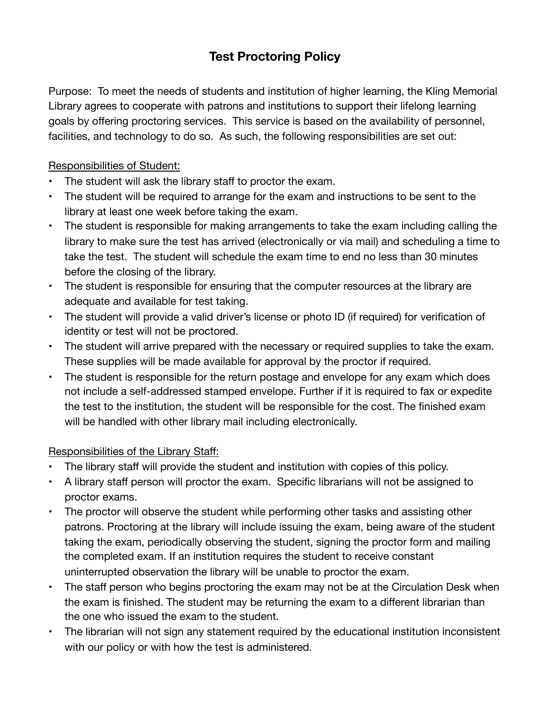## **Test Proctoring Policy**

Purpose: To meet the needs of students and institution of higher learning, the Kling Memorial Library agrees to cooperate with patrons and institutions to support their lifelong learning goals by offering proctoring services. This service is based on the availability of personnel, facilities, and technology to do so. As such, the following responsibilities are set out:

## Responsibilities of Student:

- The student will ask the library staff to proctor the exam.
- The student will be required to arrange for the exam and instructions to be sent to the library at least one week before taking the exam.
- The student is responsible for making arrangements to take the exam including calling the library to make sure the test has arrived (electronically or via mail) and scheduling a time to take the test. The student will schedule the exam time to end no less than 30 minutes before the closing of the library.
- The student is responsible for ensuring that the computer resources at the library are adequate and available for test taking.
- The student will provide a valid driver's license or photo ID (if required) for verification of identity or test will not be proctored.
- The student will arrive prepared with the necessary or required supplies to take the exam. These supplies will be made available for approval by the proctor if required.
- The student is responsible for the return postage and envelope for any exam which does not include a self-addressed stamped envelope. Further if it is required to fax or expedite the test to the institution, the student will be responsible for the cost. The finished exam will be handled with other library mail including electronically.

## Responsibilities of the Library Staff:

- The library staff will provide the student and institution with copies of this policy.
- A library staff person will proctor the exam. Specific librarians will not be assigned to proctor exams.
- The proctor will observe the student while performing other tasks and assisting other patrons. Proctoring at the library will include issuing the exam, being aware of the student taking the exam, periodically observing the student, signing the proctor form and mailing the completed exam. If an institution requires the student to receive constant uninterrupted observation the library will be unable to proctor the exam.
- The staff person who begins proctoring the exam may not be at the Circulation Desk when the exam is finished. The student may be returning the exam to a different librarian than the one who issued the exam to the student.
- The librarian will not sign any statement required by the educational institution inconsistent with our policy or with how the test is administered.